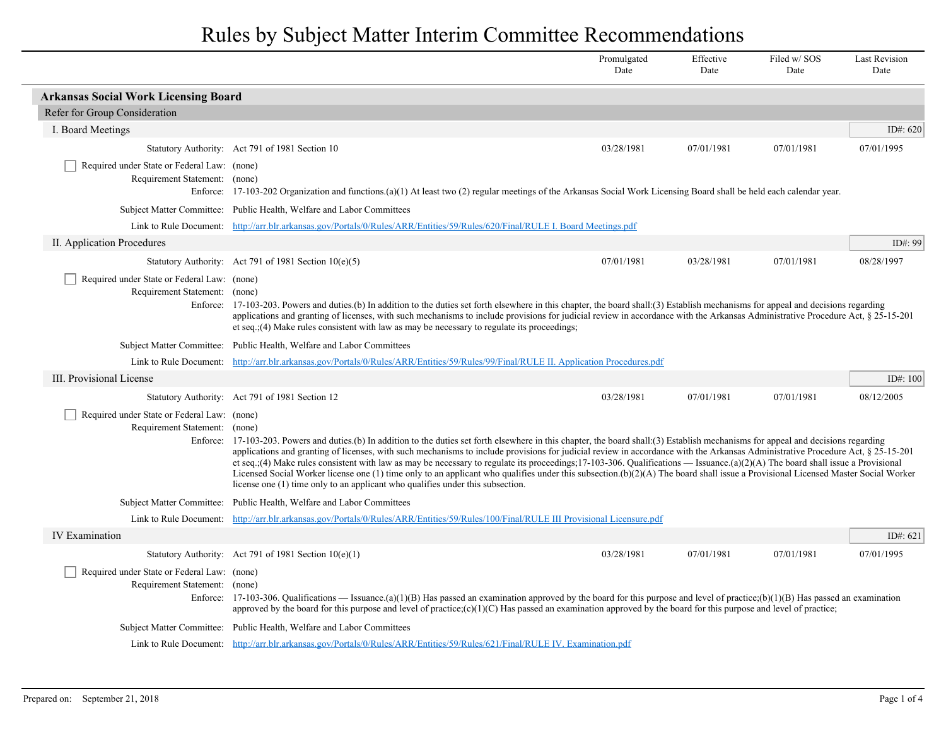## Rules by Subject Matter Interim Committee Recommendations

|                                                                                          |                                                                                                                                                                                                                                                                                                                                                                                                                                                                                                                                                                                                                                                                                                                                                                                                                          | Promulgated<br>Date | Effective<br>Date | Filed w/SOS<br>Date | <b>Last Revision</b><br>Date |
|------------------------------------------------------------------------------------------|--------------------------------------------------------------------------------------------------------------------------------------------------------------------------------------------------------------------------------------------------------------------------------------------------------------------------------------------------------------------------------------------------------------------------------------------------------------------------------------------------------------------------------------------------------------------------------------------------------------------------------------------------------------------------------------------------------------------------------------------------------------------------------------------------------------------------|---------------------|-------------------|---------------------|------------------------------|
| <b>Arkansas Social Work Licensing Board</b>                                              |                                                                                                                                                                                                                                                                                                                                                                                                                                                                                                                                                                                                                                                                                                                                                                                                                          |                     |                   |                     |                              |
| Refer for Group Consideration                                                            |                                                                                                                                                                                                                                                                                                                                                                                                                                                                                                                                                                                                                                                                                                                                                                                                                          |                     |                   |                     |                              |
| I. Board Meetings                                                                        |                                                                                                                                                                                                                                                                                                                                                                                                                                                                                                                                                                                                                                                                                                                                                                                                                          |                     |                   |                     | ID#: $620$                   |
|                                                                                          | Statutory Authority: Act 791 of 1981 Section 10                                                                                                                                                                                                                                                                                                                                                                                                                                                                                                                                                                                                                                                                                                                                                                          | 03/28/1981          | 07/01/1981        | 07/01/1981          | 07/01/1995                   |
| Required under State or Federal Law: (none)<br>Requirement Statement: (none)<br>Enforce: | 17-103-202 Organization and functions.(a)(1) At least two (2) regular meetings of the Arkansas Social Work Licensing Board shall be held each calendar year.                                                                                                                                                                                                                                                                                                                                                                                                                                                                                                                                                                                                                                                             |                     |                   |                     |                              |
|                                                                                          | Subject Matter Committee: Public Health, Welfare and Labor Committees                                                                                                                                                                                                                                                                                                                                                                                                                                                                                                                                                                                                                                                                                                                                                    |                     |                   |                     |                              |
|                                                                                          | Link to Rule Document: http://arr.blr.arkansas.gov/Portals/0/Rules/ARR/Entities/59/Rules/620/Final/RULE I. Board Meetings.pdf                                                                                                                                                                                                                                                                                                                                                                                                                                                                                                                                                                                                                                                                                            |                     |                   |                     |                              |
| II. Application Procedures                                                               |                                                                                                                                                                                                                                                                                                                                                                                                                                                                                                                                                                                                                                                                                                                                                                                                                          |                     |                   |                     | ID#: 99                      |
|                                                                                          | Statutory Authority: Act 791 of 1981 Section $10(e)(5)$                                                                                                                                                                                                                                                                                                                                                                                                                                                                                                                                                                                                                                                                                                                                                                  | 07/01/1981          | 03/28/1981        | 07/01/1981          | 08/28/1997                   |
| Required under State or Federal Law: (none)<br>Requirement Statement: (none)             | Enforce: 17-103-203. Powers and duties (b) In addition to the duties set forth elsewhere in this chapter, the board shall: (3) Establish mechanisms for appeal and decisions regarding<br>applications and granting of licenses, with such mechanisms to include provisions for judicial review in accordance with the Arkansas Administrative Procedure Act, § 25-15-201<br>et seq. $(4)$ Make rules consistent with law as may be necessary to regulate its proceedings;                                                                                                                                                                                                                                                                                                                                               |                     |                   |                     |                              |
|                                                                                          | Subject Matter Committee: Public Health, Welfare and Labor Committees                                                                                                                                                                                                                                                                                                                                                                                                                                                                                                                                                                                                                                                                                                                                                    |                     |                   |                     |                              |
|                                                                                          | Link to Rule Document: http://arr.blr.arkansas.gov/Portals/0/Rules/ARR/Entities/59/Rules/99/Final/RULE II. Application Procedures.pdf                                                                                                                                                                                                                                                                                                                                                                                                                                                                                                                                                                                                                                                                                    |                     |                   |                     |                              |
| III. Provisional License                                                                 |                                                                                                                                                                                                                                                                                                                                                                                                                                                                                                                                                                                                                                                                                                                                                                                                                          |                     |                   |                     | ID#: 100                     |
|                                                                                          | Statutory Authority: Act 791 of 1981 Section 12                                                                                                                                                                                                                                                                                                                                                                                                                                                                                                                                                                                                                                                                                                                                                                          | 03/28/1981          | 07/01/1981        | 07/01/1981          | 08/12/2005                   |
| Required under State or Federal Law: (none)<br>Requirement Statement: (none)<br>Enforce: | 17-103-203. Powers and duties (b) In addition to the duties set forth elsewhere in this chapter, the board shall: (3) Establish mechanisms for appeal and decisions regarding<br>applications and granting of licenses, with such mechanisms to include provisions for judicial review in accordance with the Arkansas Administrative Procedure Act, § 25-15-201<br>et seq.;(4) Make rules consistent with law as may be necessary to regulate its proceedings;17-103-306. Qualifications — Issuance.(a)(2)(A) The board shall issue a Provisional<br>Licensed Social Worker license one (1) time only to an applicant who qualifies under this subsection.(b)(2)(A) The board shall issue a Provisional Licensed Master Social Worker<br>license one (1) time only to an applicant who qualifies under this subsection. |                     |                   |                     |                              |
|                                                                                          | Subject Matter Committee: Public Health, Welfare and Labor Committees                                                                                                                                                                                                                                                                                                                                                                                                                                                                                                                                                                                                                                                                                                                                                    |                     |                   |                     |                              |
|                                                                                          | Link to Rule Document: http://arr.blr.arkansas.gov/Portals/0/Rules/ARR/Entities/59/Rules/100/Final/RULE III Provisional Licensure.pdf                                                                                                                                                                                                                                                                                                                                                                                                                                                                                                                                                                                                                                                                                    |                     |                   |                     |                              |
| <b>IV Examination</b>                                                                    |                                                                                                                                                                                                                                                                                                                                                                                                                                                                                                                                                                                                                                                                                                                                                                                                                          |                     |                   |                     | ID#: $621$                   |
|                                                                                          | Statutory Authority: Act 791 of 1981 Section $10(e)(1)$                                                                                                                                                                                                                                                                                                                                                                                                                                                                                                                                                                                                                                                                                                                                                                  | 03/28/1981          | 07/01/1981        | 07/01/1981          | 07/01/1995                   |
| Required under State or Federal Law: (none)<br>Requirement Statement:<br>Enforce:        | (none)<br>17-103-306. Qualifications — Issuance (a)(1)(B) Has passed an examination approved by the board for this purpose and level of practice;(b)(1)(B) Has passed an examination<br>approved by the board for this purpose and level of practice; $(c)(1)(C)$ Has passed an examination approved by the board for this purpose and level of practice;                                                                                                                                                                                                                                                                                                                                                                                                                                                                |                     |                   |                     |                              |
|                                                                                          | Subject Matter Committee: Public Health, Welfare and Labor Committees                                                                                                                                                                                                                                                                                                                                                                                                                                                                                                                                                                                                                                                                                                                                                    |                     |                   |                     |                              |
|                                                                                          | Link to Rule Document: http://arr.blr.arkansas.gov/Portals/0/Rules/ARR/Entities/59/Rules/621/Final/RULE IV. Examination.pdf                                                                                                                                                                                                                                                                                                                                                                                                                                                                                                                                                                                                                                                                                              |                     |                   |                     |                              |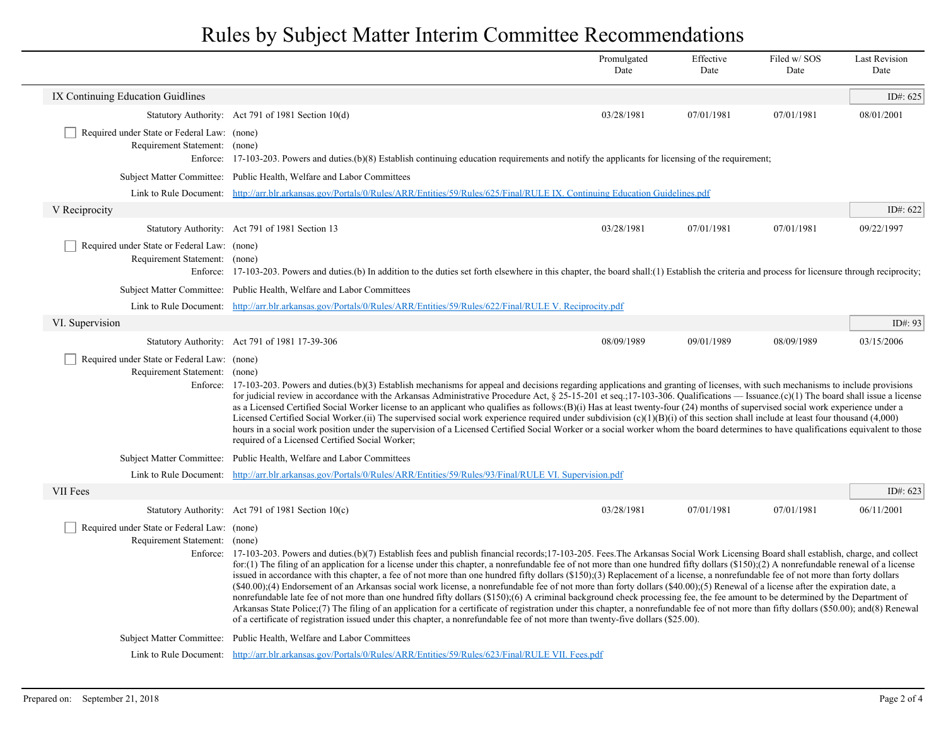## Rules by Subject Matter Interim Committee Recommendations

|                                                                              |                                                                                                                                                                                                                                                                                                                                                                                                                                                                                                                                                                                                                                                                                                                                                                                                                                                                                                                                                                                                                                                                                                                                                                                                                                                                                      | Promulgated<br>Date | Effective<br>Date | Filed w/ SOS<br>Date | <b>Last Revision</b><br>Date |
|------------------------------------------------------------------------------|--------------------------------------------------------------------------------------------------------------------------------------------------------------------------------------------------------------------------------------------------------------------------------------------------------------------------------------------------------------------------------------------------------------------------------------------------------------------------------------------------------------------------------------------------------------------------------------------------------------------------------------------------------------------------------------------------------------------------------------------------------------------------------------------------------------------------------------------------------------------------------------------------------------------------------------------------------------------------------------------------------------------------------------------------------------------------------------------------------------------------------------------------------------------------------------------------------------------------------------------------------------------------------------|---------------------|-------------------|----------------------|------------------------------|
| IX Continuing Education Guidlines                                            |                                                                                                                                                                                                                                                                                                                                                                                                                                                                                                                                                                                                                                                                                                                                                                                                                                                                                                                                                                                                                                                                                                                                                                                                                                                                                      |                     |                   |                      | ID#: 625                     |
|                                                                              | Statutory Authority: Act 791 of 1981 Section 10(d)                                                                                                                                                                                                                                                                                                                                                                                                                                                                                                                                                                                                                                                                                                                                                                                                                                                                                                                                                                                                                                                                                                                                                                                                                                   | 03/28/1981          | 07/01/1981        | 07/01/1981           | 08/01/2001                   |
| Required under State or Federal Law: (none)<br>Requirement Statement: (none) | Enforce: 17-103-203. Powers and duties (b)(8) Establish continuing education requirements and notify the applicants for licensing of the requirement;                                                                                                                                                                                                                                                                                                                                                                                                                                                                                                                                                                                                                                                                                                                                                                                                                                                                                                                                                                                                                                                                                                                                |                     |                   |                      |                              |
|                                                                              | Subject Matter Committee: Public Health, Welfare and Labor Committees                                                                                                                                                                                                                                                                                                                                                                                                                                                                                                                                                                                                                                                                                                                                                                                                                                                                                                                                                                                                                                                                                                                                                                                                                |                     |                   |                      |                              |
|                                                                              | Link to Rule Document: http://arr.blr.arkansas.gov/Portals/0/Rules/ARR/Entities/59/Rules/625/Final/RULE IX. Continuing Education Guidelines.pdf                                                                                                                                                                                                                                                                                                                                                                                                                                                                                                                                                                                                                                                                                                                                                                                                                                                                                                                                                                                                                                                                                                                                      |                     |                   |                      |                              |
| V Reciprocity                                                                |                                                                                                                                                                                                                                                                                                                                                                                                                                                                                                                                                                                                                                                                                                                                                                                                                                                                                                                                                                                                                                                                                                                                                                                                                                                                                      |                     |                   |                      | ID#: 622                     |
|                                                                              | Statutory Authority: Act 791 of 1981 Section 13                                                                                                                                                                                                                                                                                                                                                                                                                                                                                                                                                                                                                                                                                                                                                                                                                                                                                                                                                                                                                                                                                                                                                                                                                                      | 03/28/1981          | 07/01/1981        | 07/01/1981           | 09/22/1997                   |
| Required under State or Federal Law: (none)<br>Requirement Statement: (none) | Enforce: 17-103-203. Powers and duties (b) In addition to the duties set forth elsewhere in this chapter, the board shall: (1) Establish the criteria and process for licensure through reciprocity;                                                                                                                                                                                                                                                                                                                                                                                                                                                                                                                                                                                                                                                                                                                                                                                                                                                                                                                                                                                                                                                                                 |                     |                   |                      |                              |
|                                                                              | Subject Matter Committee: Public Health, Welfare and Labor Committees                                                                                                                                                                                                                                                                                                                                                                                                                                                                                                                                                                                                                                                                                                                                                                                                                                                                                                                                                                                                                                                                                                                                                                                                                |                     |                   |                      |                              |
|                                                                              | Link to Rule Document: http://arr.blr.arkansas.gov/Portals/0/Rules/ARR/Entities/59/Rules/622/Final/RULE V. Reciprocity.pdf                                                                                                                                                                                                                                                                                                                                                                                                                                                                                                                                                                                                                                                                                                                                                                                                                                                                                                                                                                                                                                                                                                                                                           |                     |                   |                      |                              |
| VI. Supervision                                                              |                                                                                                                                                                                                                                                                                                                                                                                                                                                                                                                                                                                                                                                                                                                                                                                                                                                                                                                                                                                                                                                                                                                                                                                                                                                                                      |                     |                   |                      | ID#: 93                      |
|                                                                              | Statutory Authority: Act 791 of 1981 17-39-306                                                                                                                                                                                                                                                                                                                                                                                                                                                                                                                                                                                                                                                                                                                                                                                                                                                                                                                                                                                                                                                                                                                                                                                                                                       | 08/09/1989          | 09/01/1989        | 08/09/1989           | 03/15/2006                   |
| Required under State or Federal Law: (none)<br>Requirement Statement: (none) | Enforce: 17-103-203. Powers and duties (b)(3) Establish mechanisms for appeal and decisions regarding applications and granting of licenses, with such mechanisms to include provisions<br>for judicial review in accordance with the Arkansas Administrative Procedure Act, § 25-15-201 et seq.;17-103-306. Qualifications — Issuance.(c)(1) The board shall issue a license<br>as a Licensed Certified Social Worker license to an applicant who qualifies as follows:(B)(i) Has at least twenty-four (24) months of supervised social work experience under a<br>Licensed Certified Social Worker.(ii) The supervised social work experience required under subdivision (c)(1)(B)(i) of this section shall include at least four thousand (4,000)<br>hours in a social work position under the supervision of a Licensed Certified Social Worker or a social worker whom the board determines to have qualifications equivalent to those<br>required of a Licensed Certified Social Worker;                                                                                                                                                                                                                                                                                       |                     |                   |                      |                              |
|                                                                              | Subject Matter Committee: Public Health, Welfare and Labor Committees                                                                                                                                                                                                                                                                                                                                                                                                                                                                                                                                                                                                                                                                                                                                                                                                                                                                                                                                                                                                                                                                                                                                                                                                                |                     |                   |                      |                              |
|                                                                              | Link to Rule Document: http://arr.blr.arkansas.gov/Portals/0/Rules/ARR/Entities/59/Rules/93/Final/RULE VI. Supervision.pdf                                                                                                                                                                                                                                                                                                                                                                                                                                                                                                                                                                                                                                                                                                                                                                                                                                                                                                                                                                                                                                                                                                                                                           |                     |                   |                      |                              |
| VII Fees                                                                     |                                                                                                                                                                                                                                                                                                                                                                                                                                                                                                                                                                                                                                                                                                                                                                                                                                                                                                                                                                                                                                                                                                                                                                                                                                                                                      |                     |                   |                      | ID#: 623                     |
|                                                                              | Statutory Authority: Act 791 of 1981 Section 10(c)                                                                                                                                                                                                                                                                                                                                                                                                                                                                                                                                                                                                                                                                                                                                                                                                                                                                                                                                                                                                                                                                                                                                                                                                                                   | 03/28/1981          | 07/01/1981        | 07/01/1981           | 06/11/2001                   |
| Required under State or Federal Law: (none)<br>Requirement Statement: (none) | Enforce: 17-103-203. Powers and duties.(b)(7) Establish fees and publish financial records; 17-103-205. Fees.The Arkansas Social Work Licensing Board shall establish, charge, and collect<br>for: (1) The filing of an application for a license under this chapter, a nonrefundable fee of not more than one hundred fifty dollars $(\$150)$ ; (2) A nonrefundable renewal of a license<br>issued in accordance with this chapter, a fee of not more than one hundred fifty dollars (\$150);(3) Replacement of a license, a nonrefundable fee of not more than forty dollars<br>(\$40.00);(4) Endorsement of an Arkansas social work license, a nonrefundable fee of not more than forty dollars (\$40.00);(5) Renewal of a license after the expiration date, a<br>nonrefundable late fee of not more than one hundred fifty dollars (\$150);(6) A criminal background check processing fee, the fee amount to be determined by the Department of<br>Arkansas State Police;(7) The filing of an application for a certificate of registration under this chapter, a nonrefundable fee of not more than fifty dollars (\$50.00); and(8) Renewal<br>of a certificate of registration issued under this chapter, a nonrefundable fee of not more than twenty-five dollars (\$25.00). |                     |                   |                      |                              |
|                                                                              | Subject Matter Committee: Public Health, Welfare and Labor Committees                                                                                                                                                                                                                                                                                                                                                                                                                                                                                                                                                                                                                                                                                                                                                                                                                                                                                                                                                                                                                                                                                                                                                                                                                |                     |                   |                      |                              |
|                                                                              | Link to Rule Document: http://arr.blr.arkansas.gov/Portals/0/Rules/ARR/Entities/59/Rules/623/Final/RULE VII. Fees.pdf                                                                                                                                                                                                                                                                                                                                                                                                                                                                                                                                                                                                                                                                                                                                                                                                                                                                                                                                                                                                                                                                                                                                                                |                     |                   |                      |                              |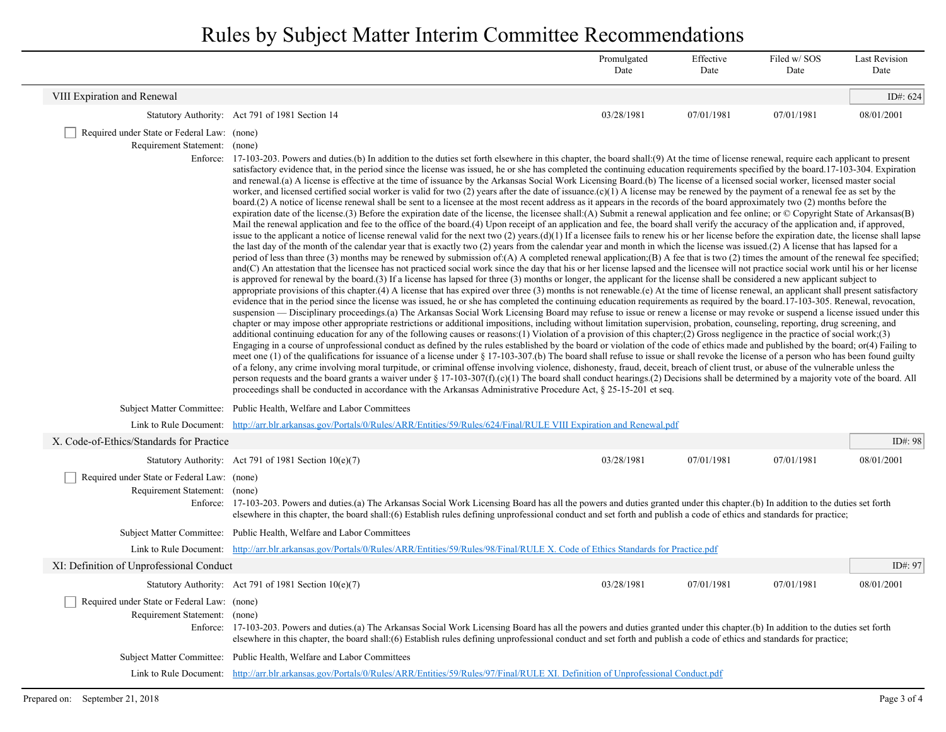Rules by Subject Matter Interim Committee Recommendations

|                                                                              |                                                                                                                                                                                                                                                                                                                                                                                                                                                                                                                                                                                                                                                                                                                                                                                                                                                                                                                                                                                                                                                                                                                                                                                                                                                                                                                                                                                                                                                                                                                                                                                                                                                                                                                                                                                                                                                                                                                                                                                                                                                                                                                                                                                                                                                                                                                                                                                                                                                                                                                                                                                                                                                                                                                                                                                                                                                                                                                                                                                                                                                                                                                                                                                                                                                                                                                                                                                                                                                                                                                                                                                                                                                                                                                                                                                                                                                                                                                                                                                                                                                                                                                           | Promulgated<br>Date | Effective<br>Date | Filed w/SOS<br>Date | <b>Last Revision</b><br>Date |
|------------------------------------------------------------------------------|---------------------------------------------------------------------------------------------------------------------------------------------------------------------------------------------------------------------------------------------------------------------------------------------------------------------------------------------------------------------------------------------------------------------------------------------------------------------------------------------------------------------------------------------------------------------------------------------------------------------------------------------------------------------------------------------------------------------------------------------------------------------------------------------------------------------------------------------------------------------------------------------------------------------------------------------------------------------------------------------------------------------------------------------------------------------------------------------------------------------------------------------------------------------------------------------------------------------------------------------------------------------------------------------------------------------------------------------------------------------------------------------------------------------------------------------------------------------------------------------------------------------------------------------------------------------------------------------------------------------------------------------------------------------------------------------------------------------------------------------------------------------------------------------------------------------------------------------------------------------------------------------------------------------------------------------------------------------------------------------------------------------------------------------------------------------------------------------------------------------------------------------------------------------------------------------------------------------------------------------------------------------------------------------------------------------------------------------------------------------------------------------------------------------------------------------------------------------------------------------------------------------------------------------------------------------------------------------------------------------------------------------------------------------------------------------------------------------------------------------------------------------------------------------------------------------------------------------------------------------------------------------------------------------------------------------------------------------------------------------------------------------------------------------------------------------------------------------------------------------------------------------------------------------------------------------------------------------------------------------------------------------------------------------------------------------------------------------------------------------------------------------------------------------------------------------------------------------------------------------------------------------------------------------------------------------------------------------------------------------------------------------------------------------------------------------------------------------------------------------------------------------------------------------------------------------------------------------------------------------------------------------------------------------------------------------------------------------------------------------------------------------------------------------------------------------------------------------------------------------------|---------------------|-------------------|---------------------|------------------------------|
| VIII Expiration and Renewal                                                  |                                                                                                                                                                                                                                                                                                                                                                                                                                                                                                                                                                                                                                                                                                                                                                                                                                                                                                                                                                                                                                                                                                                                                                                                                                                                                                                                                                                                                                                                                                                                                                                                                                                                                                                                                                                                                                                                                                                                                                                                                                                                                                                                                                                                                                                                                                                                                                                                                                                                                                                                                                                                                                                                                                                                                                                                                                                                                                                                                                                                                                                                                                                                                                                                                                                                                                                                                                                                                                                                                                                                                                                                                                                                                                                                                                                                                                                                                                                                                                                                                                                                                                                           |                     |                   |                     | ID#: $624$                   |
|                                                                              | Statutory Authority: Act 791 of 1981 Section 14                                                                                                                                                                                                                                                                                                                                                                                                                                                                                                                                                                                                                                                                                                                                                                                                                                                                                                                                                                                                                                                                                                                                                                                                                                                                                                                                                                                                                                                                                                                                                                                                                                                                                                                                                                                                                                                                                                                                                                                                                                                                                                                                                                                                                                                                                                                                                                                                                                                                                                                                                                                                                                                                                                                                                                                                                                                                                                                                                                                                                                                                                                                                                                                                                                                                                                                                                                                                                                                                                                                                                                                                                                                                                                                                                                                                                                                                                                                                                                                                                                                                           | 03/28/1981          | 07/01/1981        | 07/01/1981          | 08/01/2001                   |
| Required under State or Federal Law: (none)<br>Requirement Statement: (none) | Enforce: 17-103-203. Powers and duties (b) In addition to the duties set forth elsewhere in this chapter, the board shall: (9) At the time of license renewal, require each applicant to present<br>satisfactory evidence that, in the period since the license was issued, he or she has completed the continuing education requirements specified by the board.17-103-304. Expiration<br>and renewal.(a) A license is effective at the time of issuance by the Arkansas Social Work Licensing Board.(b) The license of a licensed social worker, licensed master social<br>worker, and licensed certified social worker is valid for two (2) years after the date of issuance. $(c)(1)$ A license may be renewed by the payment of a renewal fee as set by the<br>board.(2) A notice of license renewal shall be sent to a licensee at the most recent address as it appears in the records of the board approximately two (2) months before the<br>expiration date of the license.(3) Before the expiration date of the license, the license shall:(A) Submit a renewal application and fee online; or © Copyright State of Arkansas(B)<br>Mail the renewal application and fee to the office of the board.(4) Upon receipt of an application and fee, the board shall verify the accuracy of the application and, if approved,<br>issue to the applicant a notice of license renewal valid for the next two (2) years. $(d)(1)$ If a license fails to renew his or her license before the expiration date, the license shall lapse<br>the last day of the month of the calendar year that is exactly two (2) years from the calendar year and month in which the license was issued.(2) A license that has lapsed for a<br>period of less than three (3) months may be renewed by submission of:(A) A completed renewal application;(B) A fee that is two (2) times the amount of the renewal fee specified;<br>and(C) An attestation that the licensee has not practiced social work since the day that his or her license lapsed and the licensee will not practice social work until his or her license<br>is approved for renewal by the board.(3) If a license has lapsed for three (3) months or longer, the applicant for the license shall be considered a new applicant subject to<br>appropriate provisions of this chapter.(4) A license that has expired over three (3) months is not renewable.(e) At the time of license renewal, an applicant shall present satisfactory<br>evidence that in the period since the license was issued, he or she has completed the continuing education requirements as required by the board.17-103-305. Renewal, revocation,<br>suspension — Disciplinary proceedings (a) The Arkansas Social Work Licensing Board may refuse to issue or renew a license or may revoke or suspend a license issued under this<br>chapter or may impose other appropriate restrictions or additional impositions, including without limitation supervision, probation, counseling, reporting, drug screening, and<br>additional continuing education for any of the following causes or reasons:(1) Violation of a provision of this chapter;(2) Gross negligence in the practice of social work;(3)<br>Engaging in a course of unprofessional conduct as defined by the rules established by the board or violation of the code of ethics made and published by the board; or(4) Failing to<br>meet one (1) of the qualifications for issuance of a license under § 17-103-307.(b) The board shall refuse to issue or shall revoke the license of a person who has been found guilty<br>of a felony, any crime involving moral turpitude, or criminal offense involving violence, dishonesty, fraud, deceit, breach of client trust, or abuse of the vulnerable unless the<br>person requests and the board grants a waiver under § 17-103-307(f).(c)(1) The board shall conduct hearings.(2) Decisions shall be determined by a majority vote of the board. All<br>proceedings shall be conducted in accordance with the Arkansas Administrative Procedure Act, § 25-15-201 et seq. |                     |                   |                     |                              |
|                                                                              | Subject Matter Committee: Public Health, Welfare and Labor Committees                                                                                                                                                                                                                                                                                                                                                                                                                                                                                                                                                                                                                                                                                                                                                                                                                                                                                                                                                                                                                                                                                                                                                                                                                                                                                                                                                                                                                                                                                                                                                                                                                                                                                                                                                                                                                                                                                                                                                                                                                                                                                                                                                                                                                                                                                                                                                                                                                                                                                                                                                                                                                                                                                                                                                                                                                                                                                                                                                                                                                                                                                                                                                                                                                                                                                                                                                                                                                                                                                                                                                                                                                                                                                                                                                                                                                                                                                                                                                                                                                                                     |                     |                   |                     |                              |
|                                                                              | Link to Rule Document: http://arr.blr.arkansas.gov/Portals/0/Rules/ARR/Entities/59/Rules/624/Final/RULE VIII Expiration and Renewal.pdf                                                                                                                                                                                                                                                                                                                                                                                                                                                                                                                                                                                                                                                                                                                                                                                                                                                                                                                                                                                                                                                                                                                                                                                                                                                                                                                                                                                                                                                                                                                                                                                                                                                                                                                                                                                                                                                                                                                                                                                                                                                                                                                                                                                                                                                                                                                                                                                                                                                                                                                                                                                                                                                                                                                                                                                                                                                                                                                                                                                                                                                                                                                                                                                                                                                                                                                                                                                                                                                                                                                                                                                                                                                                                                                                                                                                                                                                                                                                                                                   |                     |                   |                     |                              |
| X. Code-of-Ethics/Standards for Practice                                     |                                                                                                                                                                                                                                                                                                                                                                                                                                                                                                                                                                                                                                                                                                                                                                                                                                                                                                                                                                                                                                                                                                                                                                                                                                                                                                                                                                                                                                                                                                                                                                                                                                                                                                                                                                                                                                                                                                                                                                                                                                                                                                                                                                                                                                                                                                                                                                                                                                                                                                                                                                                                                                                                                                                                                                                                                                                                                                                                                                                                                                                                                                                                                                                                                                                                                                                                                                                                                                                                                                                                                                                                                                                                                                                                                                                                                                                                                                                                                                                                                                                                                                                           |                     |                   |                     | ID#: $98$                    |
|                                                                              | Statutory Authority: Act 791 of 1981 Section $10(e)(7)$                                                                                                                                                                                                                                                                                                                                                                                                                                                                                                                                                                                                                                                                                                                                                                                                                                                                                                                                                                                                                                                                                                                                                                                                                                                                                                                                                                                                                                                                                                                                                                                                                                                                                                                                                                                                                                                                                                                                                                                                                                                                                                                                                                                                                                                                                                                                                                                                                                                                                                                                                                                                                                                                                                                                                                                                                                                                                                                                                                                                                                                                                                                                                                                                                                                                                                                                                                                                                                                                                                                                                                                                                                                                                                                                                                                                                                                                                                                                                                                                                                                                   | 03/28/1981          | 07/01/1981        | 07/01/1981          | 08/01/2001                   |
| Required under State or Federal Law: (none)<br>Requirement Statement: (none) | Enforce: 17-103-203. Powers and duties (a) The Arkansas Social Work Licensing Board has all the powers and duties granted under this chapter (b) In addition to the duties set forth<br>elsewhere in this chapter, the board shall:(6) Establish rules defining unprofessional conduct and set forth and publish a code of ethics and standards for practice;                                                                                                                                                                                                                                                                                                                                                                                                                                                                                                                                                                                                                                                                                                                                                                                                                                                                                                                                                                                                                                                                                                                                                                                                                                                                                                                                                                                                                                                                                                                                                                                                                                                                                                                                                                                                                                                                                                                                                                                                                                                                                                                                                                                                                                                                                                                                                                                                                                                                                                                                                                                                                                                                                                                                                                                                                                                                                                                                                                                                                                                                                                                                                                                                                                                                                                                                                                                                                                                                                                                                                                                                                                                                                                                                                             |                     |                   |                     |                              |
|                                                                              | Subject Matter Committee: Public Health, Welfare and Labor Committees                                                                                                                                                                                                                                                                                                                                                                                                                                                                                                                                                                                                                                                                                                                                                                                                                                                                                                                                                                                                                                                                                                                                                                                                                                                                                                                                                                                                                                                                                                                                                                                                                                                                                                                                                                                                                                                                                                                                                                                                                                                                                                                                                                                                                                                                                                                                                                                                                                                                                                                                                                                                                                                                                                                                                                                                                                                                                                                                                                                                                                                                                                                                                                                                                                                                                                                                                                                                                                                                                                                                                                                                                                                                                                                                                                                                                                                                                                                                                                                                                                                     |                     |                   |                     |                              |
|                                                                              | Link to Rule Document: http://arr.blr.arkansas.gov/Portals/0/Rules/ARR/Entities/59/Rules/98/Final/RULE X. Code of Ethics Standards for Practice.pdf                                                                                                                                                                                                                                                                                                                                                                                                                                                                                                                                                                                                                                                                                                                                                                                                                                                                                                                                                                                                                                                                                                                                                                                                                                                                                                                                                                                                                                                                                                                                                                                                                                                                                                                                                                                                                                                                                                                                                                                                                                                                                                                                                                                                                                                                                                                                                                                                                                                                                                                                                                                                                                                                                                                                                                                                                                                                                                                                                                                                                                                                                                                                                                                                                                                                                                                                                                                                                                                                                                                                                                                                                                                                                                                                                                                                                                                                                                                                                                       |                     |                   |                     |                              |
| XI: Definition of Unprofessional Conduct                                     |                                                                                                                                                                                                                                                                                                                                                                                                                                                                                                                                                                                                                                                                                                                                                                                                                                                                                                                                                                                                                                                                                                                                                                                                                                                                                                                                                                                                                                                                                                                                                                                                                                                                                                                                                                                                                                                                                                                                                                                                                                                                                                                                                                                                                                                                                                                                                                                                                                                                                                                                                                                                                                                                                                                                                                                                                                                                                                                                                                                                                                                                                                                                                                                                                                                                                                                                                                                                                                                                                                                                                                                                                                                                                                                                                                                                                                                                                                                                                                                                                                                                                                                           |                     |                   |                     | ID#: 97                      |
|                                                                              | Statutory Authority: Act 791 of 1981 Section $10(e)(7)$                                                                                                                                                                                                                                                                                                                                                                                                                                                                                                                                                                                                                                                                                                                                                                                                                                                                                                                                                                                                                                                                                                                                                                                                                                                                                                                                                                                                                                                                                                                                                                                                                                                                                                                                                                                                                                                                                                                                                                                                                                                                                                                                                                                                                                                                                                                                                                                                                                                                                                                                                                                                                                                                                                                                                                                                                                                                                                                                                                                                                                                                                                                                                                                                                                                                                                                                                                                                                                                                                                                                                                                                                                                                                                                                                                                                                                                                                                                                                                                                                                                                   | 03/28/1981          | 07/01/1981        | 07/01/1981          | 08/01/2001                   |
| Required under State or Federal Law: (none)<br>Requirement Statement: (none) | Enforce: 17-103-203. Powers and duties (a) The Arkansas Social Work Licensing Board has all the powers and duties granted under this chapter (b) In addition to the duties set forth<br>elsewhere in this chapter, the board shall: (6) Establish rules defining unprofessional conduct and set forth and publish a code of ethics and standards for practice;                                                                                                                                                                                                                                                                                                                                                                                                                                                                                                                                                                                                                                                                                                                                                                                                                                                                                                                                                                                                                                                                                                                                                                                                                                                                                                                                                                                                                                                                                                                                                                                                                                                                                                                                                                                                                                                                                                                                                                                                                                                                                                                                                                                                                                                                                                                                                                                                                                                                                                                                                                                                                                                                                                                                                                                                                                                                                                                                                                                                                                                                                                                                                                                                                                                                                                                                                                                                                                                                                                                                                                                                                                                                                                                                                            |                     |                   |                     |                              |
|                                                                              | Subject Matter Committee: Public Health, Welfare and Labor Committees                                                                                                                                                                                                                                                                                                                                                                                                                                                                                                                                                                                                                                                                                                                                                                                                                                                                                                                                                                                                                                                                                                                                                                                                                                                                                                                                                                                                                                                                                                                                                                                                                                                                                                                                                                                                                                                                                                                                                                                                                                                                                                                                                                                                                                                                                                                                                                                                                                                                                                                                                                                                                                                                                                                                                                                                                                                                                                                                                                                                                                                                                                                                                                                                                                                                                                                                                                                                                                                                                                                                                                                                                                                                                                                                                                                                                                                                                                                                                                                                                                                     |                     |                   |                     |                              |
|                                                                              | Link to Rule Document: http://arr.blr.arkansas.gov/Portals/0/Rules/ARR/Entities/59/Rules/97/Final/RULE XI. Definition of Unprofessional Conduct.pdf                                                                                                                                                                                                                                                                                                                                                                                                                                                                                                                                                                                                                                                                                                                                                                                                                                                                                                                                                                                                                                                                                                                                                                                                                                                                                                                                                                                                                                                                                                                                                                                                                                                                                                                                                                                                                                                                                                                                                                                                                                                                                                                                                                                                                                                                                                                                                                                                                                                                                                                                                                                                                                                                                                                                                                                                                                                                                                                                                                                                                                                                                                                                                                                                                                                                                                                                                                                                                                                                                                                                                                                                                                                                                                                                                                                                                                                                                                                                                                       |                     |                   |                     |                              |